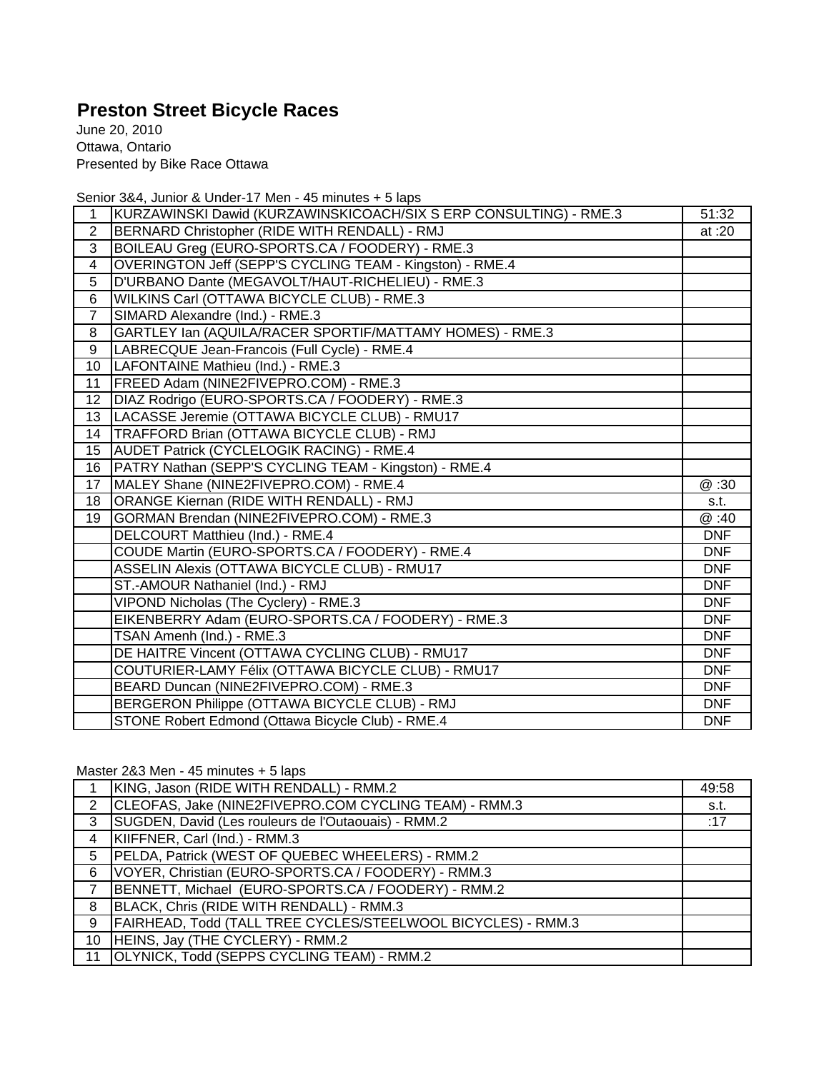## **Preston Street Bicycle Races**

June 20, 2010 Ottawa, Ontario Presented by Bike Race Ottawa

Senior 3&4, Junior & Under-17 Men - 45 minutes + 5 laps

| 1               | KURZAWINSKI Dawid (KURZAWINSKICOACH/SIX S ERP CONSULTING) - RME.3 | 51:32      |
|-----------------|-------------------------------------------------------------------|------------|
| $\overline{2}$  | BERNARD Christopher (RIDE WITH RENDALL) - RMJ                     | at :20     |
| 3               | BOILEAU Greg (EURO-SPORTS.CA / FOODERY) - RME.3                   |            |
| $\overline{4}$  | OVERINGTON Jeff (SEPP'S CYCLING TEAM - Kingston) - RME.4          |            |
| 5               | D'URBANO Dante (MEGAVOLT/HAUT-RICHELIEU) - RME.3                  |            |
| 6               | WILKINS Carl (OTTAWA BICYCLE CLUB) - RME.3                        |            |
| $\overline{7}$  | SIMARD Alexandre (Ind.) - RME.3                                   |            |
| 8               | GARTLEY Ian (AQUILA/RACER SPORTIF/MATTAMY HOMES) - RME.3          |            |
| 9               | LABRECQUE Jean-Francois (Full Cycle) - RME.4                      |            |
| 10              | LAFONTAINE Mathieu (Ind.) - RME.3                                 |            |
| 11              | FREED Adam (NINE2FIVEPRO.COM) - RME.3                             |            |
| 12              | DIAZ Rodrigo (EURO-SPORTS.CA / FOODERY) - RME.3                   |            |
| 13              | LACASSE Jeremie (OTTAWA BICYCLE CLUB) - RMU17                     |            |
| 14              | TRAFFORD Brian (OTTAWA BICYCLE CLUB) - RMJ                        |            |
| 15 <sub>1</sub> | <b>AUDET Patrick (CYCLELOGIK RACING) - RME.4</b>                  |            |
| 16              | PATRY Nathan (SEPP'S CYCLING TEAM - Kingston) - RME.4             |            |
| 17              | MALEY Shane (NINE2FIVEPRO.COM) - RME.4                            | @ :30      |
| 18              | ORANGE Kiernan (RIDE WITH RENDALL) - RMJ                          | s.t.       |
| 19              | GORMAN Brendan (NINE2FIVEPRO.COM) - RME.3                         | @ :40      |
|                 | DELCOURT Matthieu (Ind.) - RME.4                                  | <b>DNF</b> |
|                 | COUDE Martin (EURO-SPORTS.CA / FOODERY) - RME.4                   | <b>DNF</b> |
|                 | ASSELIN Alexis (OTTAWA BICYCLE CLUB) - RMU17                      | <b>DNF</b> |
|                 | ST.-AMOUR Nathaniel (Ind.) - RMJ                                  | <b>DNF</b> |
|                 | VIPOND Nicholas (The Cyclery) - RME.3                             | <b>DNF</b> |
|                 | EIKENBERRY Adam (EURO-SPORTS.CA / FOODERY) - RME.3                | <b>DNF</b> |
|                 | TSAN Amenh (Ind.) - RME.3                                         | <b>DNF</b> |
|                 | DE HAITRE Vincent (OTTAWA CYCLING CLUB) - RMU17                   | <b>DNF</b> |
|                 | COUTURIER-LAMY Félix (OTTAWA BICYCLE CLUB) - RMU17                | <b>DNF</b> |
|                 | BEARD Duncan (NINE2FIVEPRO.COM) - RME.3                           | <b>DNF</b> |
|                 | BERGERON Philippe (OTTAWA BICYCLE CLUB) - RMJ                     | <b>DNF</b> |
|                 | STONE Robert Edmond (Ottawa Bicycle Club) - RME.4                 | <b>DNF</b> |

Master 2&3 Men - 45 minutes + 5 laps

|              | KING, Jason (RIDE WITH RENDALL) - RMM.2                      | 49:58 |
|--------------|--------------------------------------------------------------|-------|
| 2            | CLEOFAS, Jake (NINE2FIVEPRO.COM CYCLING TEAM) - RMM.3        | s.t.  |
| $\mathbf{3}$ | SUGDEN, David (Les rouleurs de l'Outaouais) - RMM.2          | :17   |
| 4            | KIIFFNER, Carl (Ind.) - RMM.3                                |       |
| 5            | PELDA, Patrick (WEST OF QUEBEC WHEELERS) - RMM.2             |       |
| 6            | VOYER, Christian (EURO-SPORTS.CA / FOODERY) - RMM.3          |       |
|              | BENNETT, Michael (EURO-SPORTS.CA / FOODERY) - RMM.2          |       |
| 8            | BLACK, Chris (RIDE WITH RENDALL) - RMM.3                     |       |
| 9            | FAIRHEAD, Todd (TALL TREE CYCLES/STEELWOOL BICYCLES) - RMM.3 |       |
| 10           | HEINS, Jay (THE CYCLERY) - RMM.2                             |       |
|              | 11 OLYNICK, Todd (SEPPS CYCLING TEAM) - RMM.2                |       |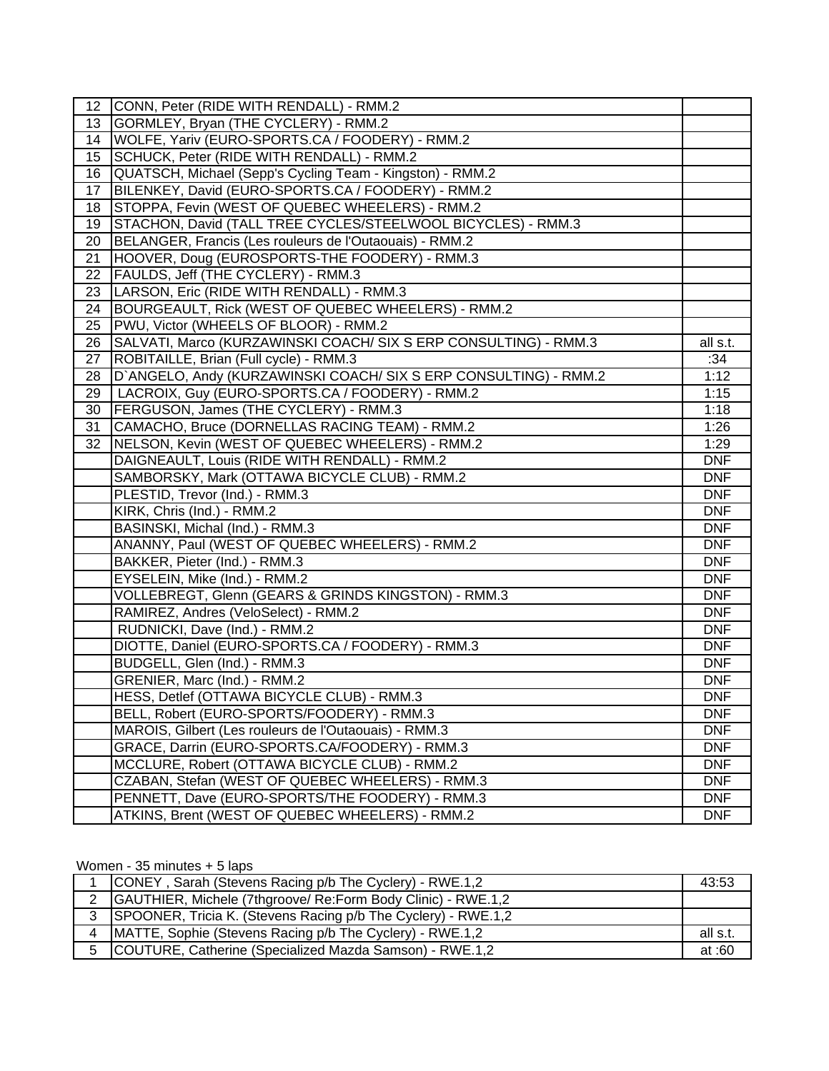| 12 | CONN, Peter (RIDE WITH RENDALL) - RMM.2                          |            |
|----|------------------------------------------------------------------|------------|
| 13 | GORMLEY, Bryan (THE CYCLERY) - RMM.2                             |            |
| 14 | WOLFE, Yariv (EURO-SPORTS.CA / FOODERY) - RMM.2                  |            |
| 15 | SCHUCK, Peter (RIDE WITH RENDALL) - RMM.2                        |            |
| 16 | QUATSCH, Michael (Sepp's Cycling Team - Kingston) - RMM.2        |            |
| 17 | BILENKEY, David (EURO-SPORTS.CA / FOODERY) - RMM.2               |            |
| 18 | STOPPA, Fevin (WEST OF QUEBEC WHEELERS) - RMM.2                  |            |
| 19 | STACHON, David (TALL TREE CYCLES/STEELWOOL BICYCLES) - RMM.3     |            |
| 20 | BELANGER, Francis (Les rouleurs de l'Outaouais) - RMM.2          |            |
| 21 | HOOVER, Doug (EUROSPORTS-THE FOODERY) - RMM.3                    |            |
| 22 | FAULDS, Jeff (THE CYCLERY) - RMM.3                               |            |
| 23 | LARSON, Eric (RIDE WITH RENDALL) - RMM.3                         |            |
| 24 | BOURGEAULT, Rick (WEST OF QUEBEC WHEELERS) - RMM.2               |            |
| 25 | PWU, Victor (WHEELS OF BLOOR) - RMM.2                            |            |
| 26 | SALVATI, Marco (KURZAWINSKI COACH/ SIX S ERP CONSULTING) - RMM.3 | all s.t.   |
| 27 | ROBITAILLE, Brian (Full cycle) - RMM.3                           | :34        |
| 28 | D'ANGELO, Andy (KURZAWINSKI COACH/ SIX S ERP CONSULTING) - RMM.2 | 1:12       |
| 29 | LACROIX, Guy (EURO-SPORTS.CA / FOODERY) - RMM.2                  | 1:15       |
| 30 | FERGUSON, James (THE CYCLERY) - RMM.3                            | 1:18       |
| 31 | CAMACHO, Bruce (DORNELLAS RACING TEAM) - RMM.2                   | 1:26       |
| 32 | NELSON, Kevin (WEST OF QUEBEC WHEELERS) - RMM.2                  | 1:29       |
|    | DAIGNEAULT, Louis (RIDE WITH RENDALL) - RMM.2                    | <b>DNF</b> |
|    | SAMBORSKY, Mark (OTTAWA BICYCLE CLUB) - RMM.2                    | <b>DNF</b> |
|    | PLESTID, Trevor (Ind.) - RMM.3                                   | <b>DNF</b> |
|    | KIRK, Chris (Ind.) - RMM.2                                       | <b>DNF</b> |
|    | BASINSKI, Michal (Ind.) - RMM.3                                  | <b>DNF</b> |
|    | ANANNY, Paul (WEST OF QUEBEC WHEELERS) - RMM.2                   | <b>DNF</b> |
|    | BAKKER, Pieter (Ind.) - RMM.3                                    | <b>DNF</b> |
|    | EYSELEIN, Mike (Ind.) - RMM.2                                    | <b>DNF</b> |
|    | VOLLEBREGT, Glenn (GEARS & GRINDS KINGSTON) - RMM.3              | <b>DNF</b> |
|    | RAMIREZ, Andres (VeloSelect) - RMM.2                             | <b>DNF</b> |
|    | RUDNICKI, Dave (Ind.) - RMM.2                                    | <b>DNF</b> |
|    | DIOTTE, Daniel (EURO-SPORTS.CA / FOODERY) - RMM.3                | <b>DNF</b> |
|    | BUDGELL, Glen (Ind.) - RMM.3                                     | <b>DNF</b> |
|    | GRENIER, Marc (Ind.) - RMM.2                                     | <b>DNF</b> |
|    | HESS, Detlef (OTTAWA BICYCLE CLUB) - RMM.3                       | <b>DNF</b> |
|    | BELL, Robert (EURO-SPORTS/FOODERY) - RMM.3                       | <b>DNF</b> |
|    | MAROIS, Gilbert (Les rouleurs de l'Outaouais) - RMM.3            | <b>DNF</b> |
|    | GRACE, Darrin (EURO-SPORTS.CA/FOODERY) - RMM.3                   | <b>DNF</b> |
|    | MCCLURE, Robert (OTTAWA BICYCLE CLUB) - RMM.2                    | <b>DNF</b> |
|    | CZABAN, Stefan (WEST OF QUEBEC WHEELERS) - RMM.3                 | <b>DNF</b> |
|    | PENNETT, Dave (EURO-SPORTS/THE FOODERY) - RMM.3                  | <b>DNF</b> |
|    | ATKINS, Brent (WEST OF QUEBEC WHEELERS) - RMM.2                  | <b>DNF</b> |

## Women - 35 minutes + 5 laps

|   | CONEY, Sarah (Stevens Racing p/b The Cyclery) - RWE.1,2             | 43:53    |
|---|---------------------------------------------------------------------|----------|
| 2 | <b>CAUTHIER, Michele (7thgroove/ Re:Form Body Clinic) - RWE.1,2</b> |          |
| 3 | SPOONER, Tricia K. (Stevens Racing p/b The Cyclery) - RWE.1,2       |          |
| 4 | MATTE, Sophie (Stevens Racing p/b The Cyclery) - RWE.1,2            | all s.t. |
| 5 | COUTURE, Catherine (Specialized Mazda Samson) - RWE.1,2             | at :60   |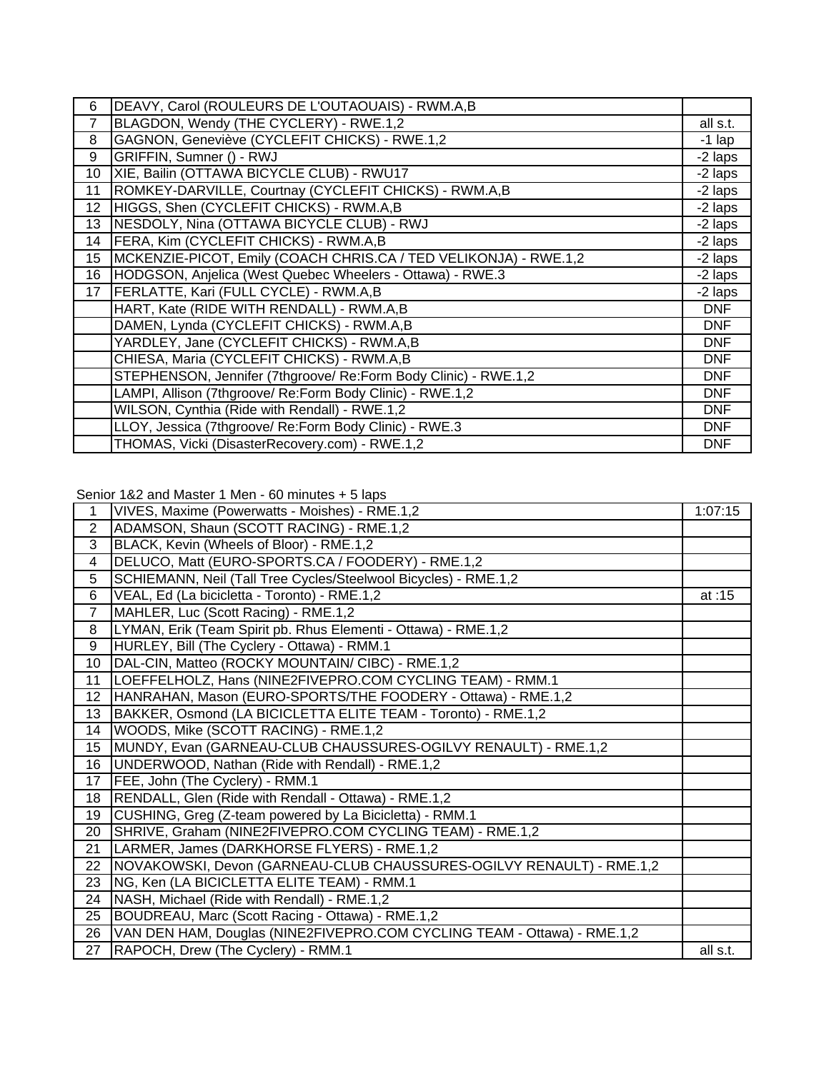| 6               | DEAVY, Carol (ROULEURS DE L'OUTAOUAIS) - RWM.A,B                 |            |
|-----------------|------------------------------------------------------------------|------------|
| 7               | BLAGDON, Wendy (THE CYCLERY) - RWE.1,2                           | all s.t.   |
| 8               | GAGNON, Geneviève (CYCLEFIT CHICKS) - RWE.1,2                    | $-1$ lap   |
| 9               | GRIFFIN, Sumner () - RWJ                                         | -2 laps    |
| 10              | XIE, Bailin (OTTAWA BICYCLE CLUB) - RWU17                        | -2 laps    |
| 11              | ROMKEY-DARVILLE, Courtnay (CYCLEFIT CHICKS) - RWM.A,B            | -2 laps    |
| 12 <sub>2</sub> | HIGGS, Shen (CYCLEFIT CHICKS) - RWM.A,B                          | -2 laps    |
| 13              | NESDOLY, Nina (OTTAWA BICYCLE CLUB) - RWJ                        | -2 laps    |
| 14              | FERA, Kim (CYCLEFIT CHICKS) - RWM.A,B                            | -2 laps    |
| 15              | MCKENZIE-PICOT, Emily (COACH CHRIS.CA / TED VELIKONJA) - RWE.1,2 | -2 laps    |
| 16              | HODGSON, Anjelica (West Quebec Wheelers - Ottawa) - RWE.3        | -2 laps    |
| 17              | FERLATTE, Kari (FULL CYCLE) - RWM.A,B                            | -2 laps    |
|                 | HART, Kate (RIDE WITH RENDALL) - RWM.A,B                         | <b>DNF</b> |
|                 | DAMEN, Lynda (CYCLEFIT CHICKS) - RWM.A,B                         | <b>DNF</b> |
|                 | YARDLEY, Jane (CYCLEFIT CHICKS) - RWM.A,B                        | <b>DNF</b> |
|                 | CHIESA, Maria (CYCLEFIT CHICKS) - RWM.A,B                        | <b>DNF</b> |
|                 | STEPHENSON, Jennifer (7thgroove/ Re:Form Body Clinic) - RWE.1,2  | <b>DNF</b> |
|                 | LAMPI, Allison (7thgroove/ Re:Form Body Clinic) - RWE.1,2        | <b>DNF</b> |
|                 | WILSON, Cynthia (Ride with Rendall) - RWE.1,2                    | <b>DNF</b> |
|                 | LLOY, Jessica (7thgroove/ Re:Form Body Clinic) - RWE.3           | <b>DNF</b> |
|                 | THOMAS, Vicki (DisasterRecovery.com) - RWE.1,2                   | <b>DNF</b> |

Senior 1&2 and Master 1 Men - 60 minutes + 5 laps

| $\mathbf 1$      | VIVES, Maxime (Powerwatts - Moishes) - RME.1,2                          | 1:07:15  |
|------------------|-------------------------------------------------------------------------|----------|
| $\overline{2}$   | ADAMSON, Shaun (SCOTT RACING) - RME.1,2                                 |          |
| 3                | BLACK, Kevin (Wheels of Bloor) - RME.1,2                                |          |
| 4                | DELUCO, Matt (EURO-SPORTS.CA / FOODERY) - RME.1,2                       |          |
| 5                | SCHIEMANN, Neil (Tall Tree Cycles/Steelwool Bicycles) - RME.1,2         |          |
| 6                | VEAL, Ed (La bicicletta - Toronto) - RME.1,2                            | at: $15$ |
| $\overline{7}$   | MAHLER, Luc (Scott Racing) - RME.1,2                                    |          |
| 8                | LYMAN, Erik (Team Spirit pb. Rhus Elementi - Ottawa) - RME.1,2          |          |
| 9                | HURLEY, Bill (The Cyclery - Ottawa) - RMM.1                             |          |
| 10               | DAL-CIN, Matteo (ROCKY MOUNTAIN/ CIBC) - RME.1,2                        |          |
| 11               | LOEFFELHOLZ, Hans (NINE2FIVEPRO.COM CYCLING TEAM) - RMM.1               |          |
| 12 <sub>2</sub>  | HANRAHAN, Mason (EURO-SPORTS/THE FOODERY - Ottawa) - RME.1,2            |          |
| 13               | BAKKER, Osmond (LA BICICLETTA ELITE TEAM - Toronto) - RME.1,2           |          |
| 14               | WOODS, Mike (SCOTT RACING) - RME.1,2                                    |          |
| 15 <sub>15</sub> | MUNDY, Evan (GARNEAU-CLUB CHAUSSURES-OGILVY RENAULT) - RME.1,2          |          |
| 16               | UNDERWOOD, Nathan (Ride with Rendall) - RME.1,2                         |          |
| 17               | FEE, John (The Cyclery) - RMM.1                                         |          |
| 18               | RENDALL, Glen (Ride with Rendall - Ottawa) - RME.1,2                    |          |
| 19               | CUSHING, Greg (Z-team powered by La Bicicletta) - RMM.1                 |          |
| 20               | SHRIVE, Graham (NINE2FIVEPRO.COM CYCLING TEAM) - RME.1,2                |          |
| 21               | LARMER, James (DARKHORSE FLYERS) - RME.1,2                              |          |
| 22               | NOVAKOWSKI, Devon (GARNEAU-CLUB CHAUSSURES-OGILVY RENAULT) - RME.1,2    |          |
| 23               | NG, Ken (LA BICICLETTA ELITE TEAM) - RMM.1                              |          |
| 24               | NASH, Michael (Ride with Rendall) - RME.1,2                             |          |
| 25               | BOUDREAU, Marc (Scott Racing - Ottawa) - RME.1,2                        |          |
| 26               | VAN DEN HAM, Douglas (NINE2FIVEPRO.COM CYCLING TEAM - Ottawa) - RME.1,2 |          |
| 27               | RAPOCH, Drew (The Cyclery) - RMM.1                                      | all s.t. |